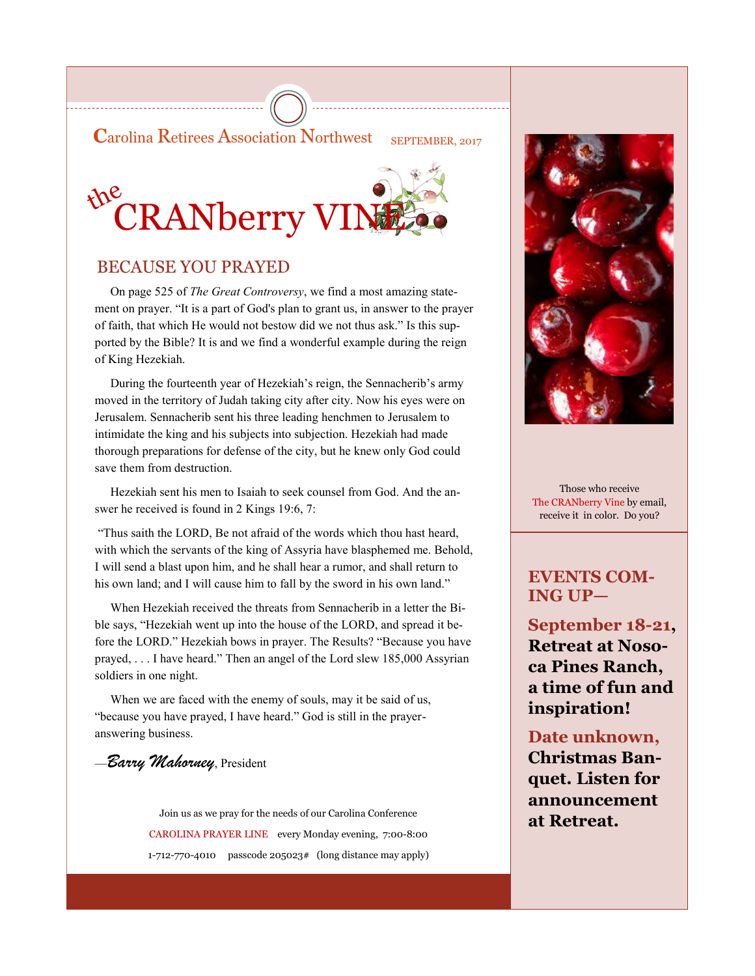**Carolina Retirees Association Northwest** SEPTEMBER, 2017



# BECAUSE YOU PRAYED

 On page 525 of *The Great Controversy*, we find a most amazing statement on prayer. "It is a part of God's plan to grant us, in answer to the prayer of faith, that which He would not bestow did we not thus ask." Is this supported by the Bible? It is and we find a wonderful example during the reign of King Hezekiah.

 During the fourteenth year of Hezekiah's reign, the Sennacherib's army moved in the territory of Judah taking city after city. Now his eyes were on Jerusalem. Sennacherib sent his three leading henchmen to Jerusalem to intimidate the king and his subjects into subjection. Hezekiah had made thorough preparations for defense of the city, but he knew only God could save them from destruction.

 Hezekiah sent his men to Isaiah to seek counsel from God. And the answer he received is found in 2 Kings 19:6, 7:

"Thus saith the LORD, Be not afraid of the words which thou hast heard, with which the servants of the king of Assyria have blasphemed me. Behold, I will send a blast upon him, and he shall hear a rumor, and shall return to his own land; and I will cause him to fall by the sword in his own land."

 When Hezekiah received the threats from Sennacherib in a letter the Bible says, "Hezekiah went up into the house of the LORD, and spread it before the LORD." Hezekiah bows in prayer. The Results? "Because you have prayed, . . . I have heard." Then an angel of the Lord slew 185,000 Assyrian soldiers in one night.

 When we are faced with the enemy of souls, may it be said of us, "because you have prayed, I have heard." God is still in the prayeranswering business.

### —*Barry Mahorney*, President

Join us as we pray for the needs of our Carolina Conference **at Retreat.** CAROLINA PRAYER LINE every Monday evening, 7:00-8:00 1-712-770-4010 passcode 205023# (long distance may apply)



Those who receive The CRANberry Vine by email, receive it in color. Do you?

# **EVENTS COM-ING UP—**

**September 18-21, Retreat at Nosoca Pines Ranch, a time of fun and inspiration!**

# **Date unknown,**

**Christmas Banquet. Listen for announcement**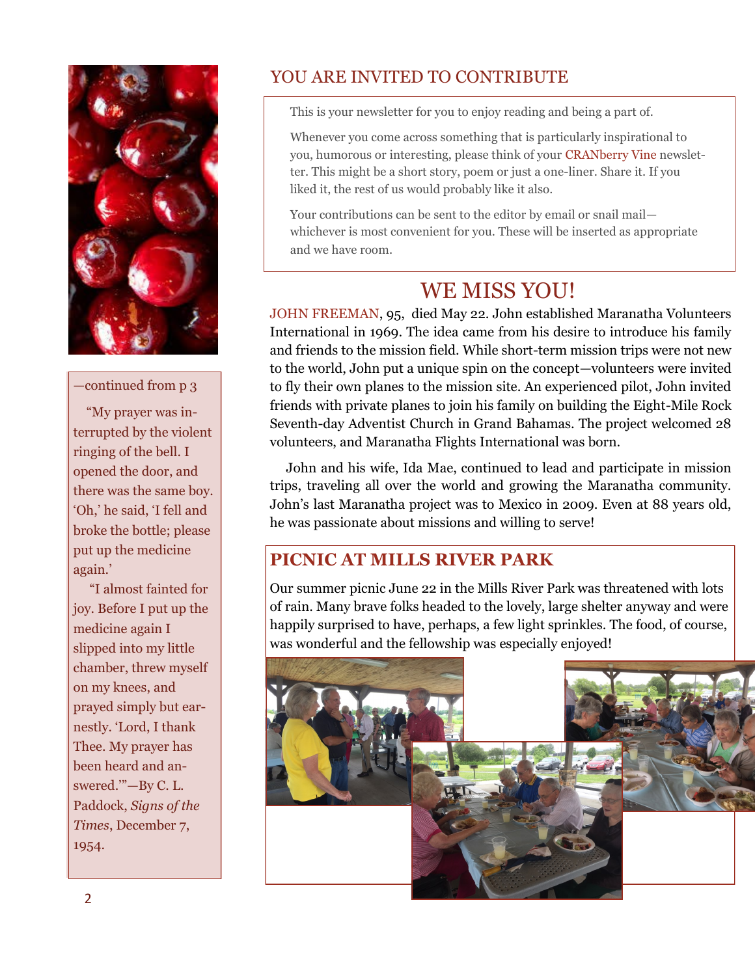

### —continued from p 3

 "My prayer was interrupted by the violent ringing of the bell. I opened the door, and there was the same boy. 'Oh,' he said, 'I fell and broke the bottle; please put up the medicine again.'

 "I almost fainted for joy. Before I put up the medicine again I slipped into my little chamber, threw myself on my knees, and prayed simply but earnestly. 'Lord, I thank Thee. My prayer has been heard and answered.'"—By C. L. Paddock, *Signs of the Times*, December 7, 1954.

# YOU ARE INVITED TO CONTRIBUTE

This is your newsletter for you to enjoy reading and being a part of.

Whenever you come across something that is particularly inspirational to you, humorous or interesting, please think of your CRANberry Vine newsletter. This might be a short story, poem or just a one-liner. Share it. If you liked it, the rest of us would probably like it also.

Your contributions can be sent to the editor by email or snail mail whichever is most convenient for you. These will be inserted as appropriate and we have room.

# WE MISS YOU!

JOHN FREEMAN, 95, died May 22. John established Maranatha Volunteers International in 1969. The idea came from his desire to introduce his family and friends to the mission field. While short-term mission trips were not new to the world, John put a unique spin on the concept—volunteers were invited to fly their own planes to the mission site. An experienced pilot, John invited friends with private planes to join his family on building the Eight-Mile Rock Seventh-day Adventist Church in Grand Bahamas. The project welcomed 28 volunteers, and Maranatha Flights International was born.

 John and his wife, Ida Mae, continued to lead and participate in mission trips, traveling all over the world and growing the Maranatha community. John's last Maranatha project was to Mexico in 2009. Even at 88 years old, he was passionate about missions and willing to serve!

# **PICNIC AT MILLS RIVER PARK**

Our summer picnic June 22 in the Mills River Park was threatened with lots of rain. Many brave folks headed to the lovely, large shelter anyway and were happily surprised to have, perhaps, a few light sprinkles. The food, of course, was wonderful and the fellowship was especially enjoyed!

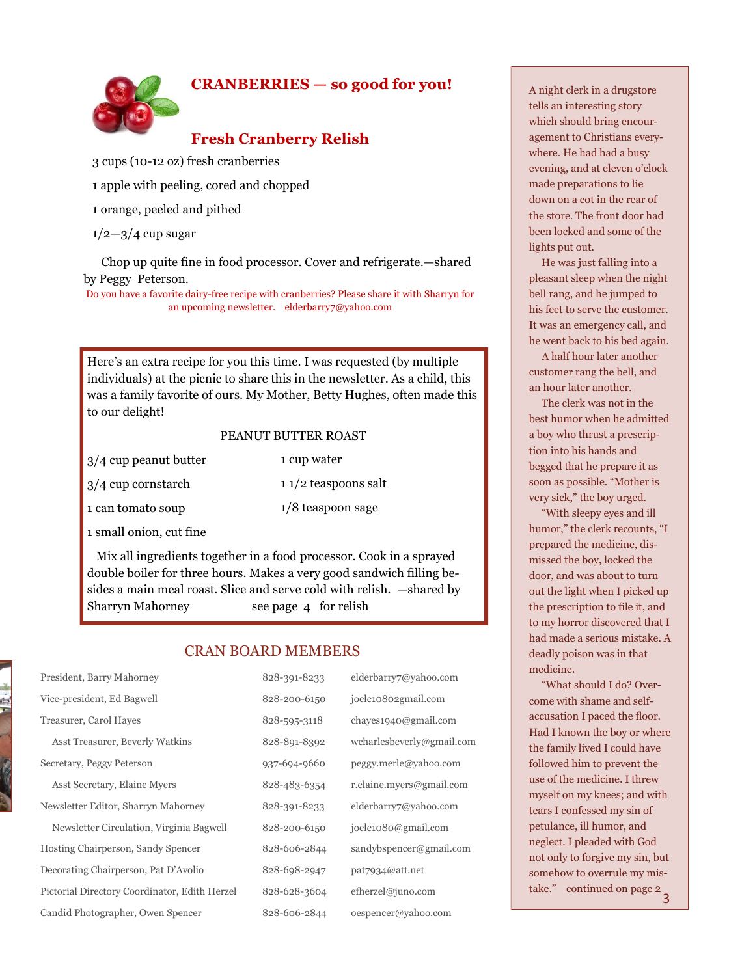### **CRANBERRIES — so good for you!**



# **Fresh Cranberry Relish**

3 cups (10-12 oz) fresh cranberries

1 apple with peeling, cored and chopped

1 orange, peeled and pithed

 $1/2 - 3/4$  cup sugar

 Chop up quite fine in food processor. Cover and refrigerate.—shared by Peggy Peterson.

Do you have a favorite dairy-free recipe with cranberries? Please share it with Sharryn for an upcoming newsletter. elderbarry7@yahoo.com

Here's an extra recipe for you this time. I was requested (by multiple individuals) at the picnic to share this in the newsletter. As a child, this was a family favorite of ours. My Mother, Betty Hughes, often made this to our delight!

#### PEANUT BUTTER ROAST

1 cup water

- 3/4 cup peanut butter
- 3/4 cup cornstarch

1 can tomato soup

1 1/2 teaspoons salt 1/8 teaspoon sage

1 small onion, cut fine

 Mix all ingredients together in a food processor. Cook in a sprayed double boiler for three hours. Makes a very good sandwich filling besides a main meal roast. Slice and serve cold with relish. —shared by Sharryn Mahorney see page 4 for relish

### CRAN BOARD MEMBERS

| President, Barry Mahorney                     | 828-391-8233 | elderbarry7@yahoo.com     |
|-----------------------------------------------|--------------|---------------------------|
| Vice-president, Ed Bagwell                    | 828-200-6150 | joele10802gmail.com       |
| Treasurer, Carol Hayes                        | 828-595-3118 | chayes1940@gmail.com      |
| Asst Treasurer, Beverly Watkins               | 828-891-8392 | wcharlesbeverly@gmail.com |
| Secretary, Peggy Peterson                     | 937-694-9660 | peggy.merle@yahoo.com     |
| Asst Secretary, Elaine Myers                  | 828-483-6354 | r.elaine.myers@gmail.com  |
| Newsletter Editor, Sharryn Mahorney           | 828-391-8233 | elderbarry7@yahoo.com     |
| Newsletter Circulation, Virginia Bagwell      | 828-200-6150 | joele1080@gmail.com       |
| Hosting Chairperson, Sandy Spencer            | 828-606-2844 | sandybspencer@gmail.com   |
| Decorating Chairperson, Pat D'Avolio          | 828-698-2947 | pat7934@att.net           |
| Pictorial Directory Coordinator, Edith Herzel | 828-628-3604 | efherzel@juno.com         |
| Candid Photographer, Owen Spencer             | 828-606-2844 | oespencer@yahoo.com       |

A night clerk in a drugstore tells an interesting story which should bring encouragement to Christians everywhere. He had had a busy evening, and at eleven o'clock made preparations to lie down on a cot in the rear of the store. The front door had been locked and some of the lights put out.

 He was just falling into a pleasant sleep when the night bell rang, and he jumped to his feet to serve the customer. It was an emergency call, and he went back to his bed again.

 A half hour later another customer rang the bell, and an hour later another.

 The clerk was not in the best humor when he admitted a boy who thrust a prescription into his hands and begged that he prepare it as soon as possible. "Mother is very sick," the boy urged.

 "With sleepy eyes and ill humor," the clerk recounts, "I prepared the medicine, dismissed the boy, locked the door, and was about to turn out the light when I picked up the prescription to file it, and to my horror discovered that I had made a serious mistake. A deadly poison was in that medicine.

 "What should I do? Overcome with shame and selfaccusation I paced the floor. Had I known the boy or where the family lived I could have followed him to prevent the use of the medicine. I threw myself on my knees; and with tears I confessed my sin of petulance, ill humor, and neglect. I pleaded with God not only to forgive my sin, but somehow to overrule my mistake." continued on page 2 3